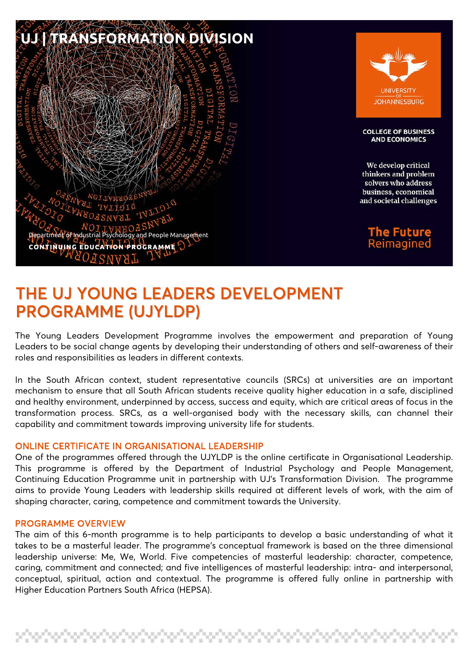

# THE UJ YOUNG LEADERS DEVELOPMENT PROGRAMME (UJYLDP)

The Young Leaders Development Programme involves the empowerment and preparation of Young Leaders to be social change agents by developing their understanding of others and self-awareness of their roles and responsibilities as leaders in different contexts.

In the South African context, student representative councils (SRCs) at universities are an important mechanism to ensure that all South African students receive quality higher education in a safe, disciplined and healthy environment, underpinned by access, success and equity, which are critical areas of focus in the transformation process. SRCs, as a well-organised body with the necessary skills, can channel their capability and commitment towards improving university life for students.

#### ONLINE CERTIFICATE IN ORGANISATIONAL LEADERSHIP

One of the programmes offered through the UJYLDP is the online certificate in Organisational Leadership. This programme is offered by the Department of Industrial Psychology and People Management, Continuing Education Programme unit in partnership with UJ's Transformation Division. The programme aims to provide Young Leaders with leadership skills required at different levels of work, with the aim of shaping character, caring, competence and commitment towards the University.

#### PROGRAMME OVERVIEW

The aim of this 6-month programme is to help participants to develop a basic understanding of what it takes to be a masterful leader. The programme's conceptual framework is based on the three dimensional leadership universe: Me, We, World. Five competencies of masterful leadership: character, competence, caring, commitment and connected; and five intelligences of masterful leadership: intra- and interpersonal, conceptual, spiritual, action and contextual. The programme is offered fully online in partnership with Higher Education Partners South Africa (HEPSA).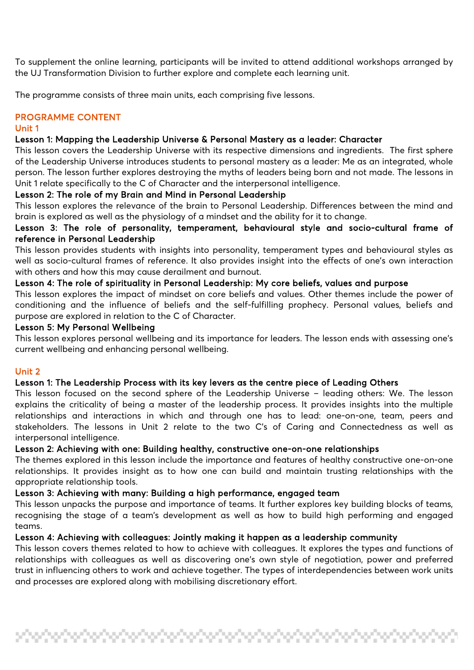To supplement the online learning, participants will be invited to attend additional workshops arranged by the UJ Transformation Division to further explore and complete each learning unit.

The programme consists of three main units, each comprising five lessons.

# PROGRAMME CONTENT

#### Unit 1

# Lesson 1: Mapping the Leadership Universe & Personal Mastery as a leader: Character

This lesson covers the Leadership Universe with its respective dimensions and ingredients. The first sphere of the Leadership Universe introduces students to personal mastery as a leader: Me as an integrated, whole person. The lesson further explores destroying the myths of leaders being born and not made. The lessons in Unit 1 relate specifically to the C of Character and the interpersonal intelligence.

# Lesson 2: The role of my Brain and Mind in Personal Leadership

This lesson explores the relevance of the brain to Personal Leadership. Differences between the mind and brain is explored as well as the physiology of a mindset and the ability for it to change.

# Lesson 3: The role of personality, temperament, behavioural style and socio-cultural frame of reference in Personal Leadership

This lesson provides students with insights into personality, temperament types and behavioural styles as well as socio-cultural frames of reference. It also provides insight into the effects of one's own interaction with others and how this may cause derailment and burnout.

## Lesson 4: The role of spirituality in Personal Leadership: My core beliefs, values and purpose

This lesson explores the impact of mindset on core beliefs and values. Other themes include the power of conditioning and the influence of beliefs and the self-fulfilling prophecy. Personal values, beliefs and purpose are explored in relation to the C of Character.

## Lesson 5: My Personal Wellbeing

This lesson explores personal wellbeing and its importance for leaders. The lesson ends with assessing one's current wellbeing and enhancing personal wellbeing.

#### Unit 2

# Lesson 1: The Leadership Process with its key levers as the centre piece of Leading Others

This lesson focused on the second sphere of the Leadership Universe – leading others: We. The lesson explains the criticality of being a master of the leadership process. It provides insights into the multiple relationships and interactions in which and through one has to lead: one-on-one, team, peers and stakeholders. The lessons in Unit 2 relate to the two C's of Caring and Connectedness as well as interpersonal intelligence.

## Lesson 2: Achieving with one: Building healthy, constructive one-on-one relationships

The themes explored in this lesson include the importance and features of healthy constructive one-on-one relationships. It provides insight as to how one can build and maintain trusting relationships with the appropriate relationship tools.

# Lesson 3: Achieving with many: Building a high performance, engaged team

This lesson unpacks the purpose and importance of teams. It further explores key building blocks of teams, recognising the stage of a team's development as well as how to build high performing and engaged teams.

# Lesson 4: Achieving with colleagues: Jointly making it happen as a leadership community

This lesson covers themes related to how to achieve with colleagues. It explores the types and functions of relationships with colleagues as well as discovering one's own style of negotiation, power and preferred trust in influencing others to work and achieve together. The types of interdependencies between work units and processes are explored along with mobilising discretionary effort.